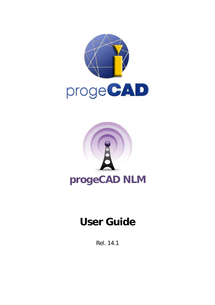



# **User Guide**

Rel. 14.1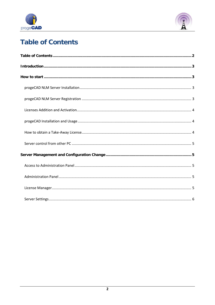



# <span id="page-1-0"></span>**Table of Contents**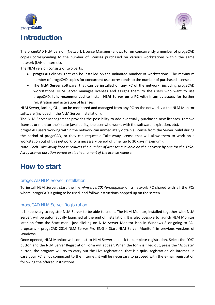



# <span id="page-2-0"></span>**Introduction**

The progeCAD NLM version (Network License Manager) allows to run concurrently a number of progeCAD copies corresponding to the number of licenses purchased on various workstations within the same network (LAN o Internet).

The NLM version consists of two parts:

- **progeCAD** clients, that can be installed on the unlimited number of workstations. The maximum number of progeCAD copies for concurrent use corresponds to the number of purchased licenses.
- The **NLM Server** software, that can be installed on any PC of the network, including progeCAD workstations. NLM Server manages licenses and assigns them to the users who want to use progeCAD. **It is recommended to install NLM Server on a PC with Internet access** for further registration and activation of licenses.

NLM Server, lacking GUI, can be monitored and managed from any PC on the network via the NLM Monitor software (included in the NLM Server Installation).

The NLM Server Management provides the possibility to add eventually purchased new licenses, remove licenses or monitor their state (availability, the user who works with the software, expiration, etc).

progeCAD users working within the network can immediately obtain a license from the Server, valid during the period of progeCAD, or they can request a Take-Away license that will allow them to work on a workstation out of this network for a necessary period of time (up to 30 days maximum).

*Note: Each Take-Away license reduces the number of licenses available on the network by one for the Take-Away license duration period or till the moment of the license release.*

# <span id="page-2-1"></span>**How to start**

# <span id="page-2-2"></span>progeCAD NLM Server Installation

To install NLM Server, start the file *nlmserver2014proeng.exe* on a network PC shared with all the PCs where progeCAD is going to be used, and follow instructions popped up on the screen.

# <span id="page-2-3"></span>progeCAD NLM Server Registration

It is necessary to register NLM Server to be able to use it. The NLM Monitor, installed together with NLM Server, will be automatically launched at the end of installation. It is also possible to launch NLM Monitor later on from the Start menu just clicking on NLM Server Monitor icon in Windows 8 or going to "All programs > progeCAD 2014 NLM Server Pro ENG > Start NLM Server Monitor" in previous versions of Windows.

Once opened, NLM Monitor will connect to NLM Server and ask to complete registration. Select the "OK" button and the NLM Server Registration Form will appear. When the form is filled out, press the "Activate" button, the program will try to carry out the Live registration, that is a quick registration via Internet. In case your PC is not connected to the Internet, it will be necessary to proceed with the e-mail registration following the offered instructions.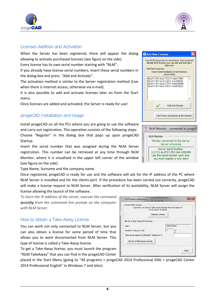



# <span id="page-3-0"></span>Licenses Addition and Activation

When the Server has been registered, there will appear the dialog allowing to activate purchased licenses (see figure on the side).

Every license has its own serial number starting with "NLM".

If you already have license serial numbers, insert these serial numbers in the dialog box and press "Add and Activate".

The activation method is similar to the Server registration method (Live when there is Internet access, otherwise via e-mail).

It is also possible to add and activate licenses later on from the Start menu.

Once licenses are added and activated, the Server is ready for use!

# <span id="page-3-1"></span>progeCAD Installation and Usage

Install progeCAD on all the PCs where you are going to use the software and carry out registration. This operation consists of the following steps: Choose "Register" in the dialog box that pops up upon progeCAD Startup.

Insert the serial number that was assigned during the NLM Server registration. This number can be retrieved at any time through NLM Monitor, where it is visualized in the upper left corner of the window (see figure on the side).

Type Name, Surname and the company name.

Once registered, progeCAD is ready for use and the software will ask for the IP address of the PC where NLM Server is installed and for the clients port. If the procedure has been carried out correctly, progeCAD will make a license request to NLM Server. After verification of its availability, NLM Server will license allowing the launch of the software.

*To learn the IP address of the server, execute the command ipconfig from the command line prompt on the computer with NLM Server.*

# <span id="page-3-2"></span>How to obtain a Take-Away License

You can work not only connected to NLM Server, but you can also obtain a license for some period of time that allows you to work disconnected from NLM Server. This type of license is called a Take-Away license.

To get a Take-Away license, you must launch the program "NLM TakeAway" that you can find in the progeCAD Center

placed in the Start Menu (going to "All programs > progeCAD 2014 Professional ENG > progeCAD Center 2014 Professional English" in Windows 7 and later).

| of its availability, NLM Server will assign the                                   |            |
|-----------------------------------------------------------------------------------|------------|
|                                                                                   |            |
|                                                                                   |            |
| <b>NLMTakeAwayManager</b>                                                         | ж          |
| <b>Current NLM License</b>                                                        |            |
| Currently you have a Take-Away license that will expire on<br>04.02.2010 10:33:54 |            |
| Release License                                                                   |            |
|                                                                                   |            |
| Ask for a Take-Away NLM License                                                   |            |
| Liser:                                                                            | James Bond |
| Number of days (1-30):                                                            | 7          |
| Take-Away password (Default: "takeaway"):                                         |            |
| Ask for a Take-Away License                                                       |            |
|                                                                                   |            |
|                                                                                   | Close      |
|                                                                                   |            |

|  | Add New Licenses                                                                                                                 |                              |                                                                                                                                                    |  |
|--|----------------------------------------------------------------------------------------------------------------------------------|------------------------------|----------------------------------------------------------------------------------------------------------------------------------------------------|--|
|  | Add New Licenses                                                                                                                 | right now!<br>(one for line) | Your NLM Server has no one license, if you received<br>already NLM licenses you can add and activate it<br>Insert Serial Number[s] of new licenses |  |
|  | NLM111511:ALATYCU11:1AAV778KF<br>NLM111511:ALATX3JY1:1AA378C65<br>NLM111511:ALATX7711:1AAB78HBB<br>NLM111511:ALATX6V11:1AAN78JL5 |                              |                                                                                                                                                    |  |
|  |                                                                                                                                  |                              | Add and Activate                                                                                                                                   |  |
|  |                                                                                                                                  |                              | I don't have any license at the moment                                                                                                             |  |

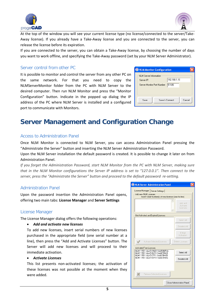



At the top of the window you will see your current license type (no license/connected to the server/Take-Away license). If you already have a Take-Away license and you are connected to the server, you can release the license before its expiration.

If you are connected to the server, you can obtain a Take-Away license, by choosing the number of days you want to work offline, and specifying the Take-Away password (set by your NLM Server Administrator).

# <span id="page-4-0"></span>Server control from other PC

It is possible to monitor and control the server from any other PC on the same network. For that you need to copy the NLMServerMonitor folder from the PC with NLM Server to the desired computer. Then run NLM Monitor and press the "Monitor Configuration" button. Indicate in the popped up dialog the IP address of the PC where NLM Server is installed and a configured port to communicate with Monitors.

| NLM Monitor Configuration                   |                |        |  |  |
|---------------------------------------------|----------------|--------|--|--|
| <b>NLM Server Information</b><br>Server IP: | 192.168.1.10   |        |  |  |
| Server Monitor Port Number:                 | 51105          |        |  |  |
| Save                                        | Save & Connect | Cancel |  |  |

# <span id="page-4-1"></span>**Server Management and Configuration Change**

# <span id="page-4-2"></span>Access to Administration Panel

Once NLM Monitor is connected to NLM Server, you can access Administration Panel pressing the "Administrate the Server" button and inserting the NLM Server Administration Password.

Upon the NLM Server installation the default password is created. It is possible to change it later on from Administration Panel.

*If you forget the Administration Password, start NLM Monitor from the PC with NLM Server, making sure that in the NLM Monitor configurations the Server IP address is set to "127.0.0.1". Then connect to the server, press the "Administrate the Server" button and proceed to the default password re-setting.*

# <span id="page-4-3"></span>Administration Panel

Upon the password insertion the Administration Panel opens, offering two main tabs: **License Manager** and **Server Settings**

# <span id="page-4-4"></span>License Manager

The License Manager dialog offers the following operations:

#### • *Add and activate new licenses*

To add new licenses, insert serial numbers of new licenses purchased in the appropriate field (one serial number at a line), then press the "Add and Activate Licenses" button. The Server will add new licenses and will proceed to their immediate activation.

#### • *Activate Licenses*

This list presents non-activated licenses; the activation of these licenses was not possible at the moment when they were added.

| NLM Server Administration Panel                                                                 |                                 |
|-------------------------------------------------------------------------------------------------|---------------------------------|
| License Manager   Server Settings  <br>Add new NLM Licenses                                     |                                 |
| Insert Serial Number[s] of new licenses (one for line)                                          |                                 |
|                                                                                                 | Add and<br>Activate<br>Licenses |
| Not Activated and Expired Licenses                                                              |                                 |
|                                                                                                 | Select All                      |
|                                                                                                 | Deselect All                    |
|                                                                                                 | E-Mail<br>Activation            |
| Activate Selected Licenses                                                                      | Delete Licenses                 |
| <b>Activated Free Licenses</b>                                                                  |                                 |
| NLM111511:ALATX1N21:1AAR8NPXA<br>NLM111511:ALATX6V11:1AAN78NL5<br>NLM111511:ALATX7711:1AAB78HXB | Select All                      |
| NLM111511:ALATYDF11:1AA678XBG                                                                   | Deselect All                    |
|                                                                                                 |                                 |
| Release Selected Licenses                                                                       |                                 |
|                                                                                                 | Close Administration Panel      |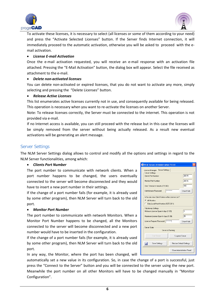



To activate these licenses, it is necessary to select (all licenses or some of them according to your need) and press the "Activate Selected Licenses" button. If the Server finds Internet connection, it will immediately proceed to the automatic activation, otherwise you will be asked to proceed with the email activation.

#### • *License E-mail Activation*

Once the e-mail activation requested, you will receive an e-mail response with an activation file attached. Pressing the "E-Mail Activation" button, the dialog box will appear. Select the file received as attachment to the e-mail.

#### • *Delete non-activated licenses*

You can delete non-activated or expired licenses, that you do not want to activate any more, simply selecting and pressing the "Delete Licenses" button.

#### • *Release Active Licenses*

This list enumerates active licenses currently not in use, and consequently available for being released. This operation is necessary when you want to re-activate the licenses on another Server.

Note: To release licenses correctly, the Server must be connected to the internet. This operation is not provided via e-mail.

If no Internet access is available, you can still proceed with the release but in this case the licenses will be simply removed from the server without being actually released. As a result new eventual activations will be generating an alert message.

#### <span id="page-5-0"></span>Server Settings

The NLM Server Settings dialog allows to control and modify all the options and settings in regard to the NLM Server functionalities, among which:

#### • *Clients Port Number*

The port number to communicate with network clients. When a port number happens to be changed, the users eventually connected to the server will become disconnected and they would have to insert a new port number in their settings.

If the change of a port number fails (for example, it is already used by some other program), then NLM Server will turn back to the old port.

#### • *Monitor Port Number*

The port number to communicate with network Monitors. When a Monitor Port Number happens to be changed, all the Monitors connected to the server will become disconnected and a new port number would have to be inserted in the configuration.

If the change of a port number fails (for example, it is already used by some other program), then NLM Server will turn back to the old port.

In any way, the Monitor, where the port has been changed, will

automatically set a new value in its configuration. So, in case the change of a port is successful, just press the "Connect to the Server" button and you will be connected to the server using the new port. Meanwhile the port number on all other Monitors will have to be changed manually in "Monitor Configuration".

| NLM Server Administration Panel                                                                          |                                       |  |  |  |  |
|----------------------------------------------------------------------------------------------------------|---------------------------------------|--|--|--|--|
| Server Settings<br>License Manager                                                                       |                                       |  |  |  |  |
| Server Settings<br>Clients Port Number:                                                                  | 28015                                 |  |  |  |  |
| Monitor Port Number:                                                                                     | 28016                                 |  |  |  |  |
| User Timeout in minutes (15-360):                                                                        | 180                                   |  |  |  |  |
| Administrator Password:                                                                                  | <b><i>REEREREERE</i></b><br>Show/Hide |  |  |  |  |
| Who can view Client Names in the License List?<br>All Monitors<br>C Only Local Host Monitors (127.0.0.1) |                                       |  |  |  |  |
| TakeAway Settings<br>3<br>Minimum License Span in days (1-30):                                           |                                       |  |  |  |  |
| Maximum License Span in days (1-30):                                                                     | 25                                    |  |  |  |  |
| License Request Password:  *********<br>Show/Hide                                                        |                                       |  |  |  |  |
| <b>Server State</b><br>Server is Running                                                                 |                                       |  |  |  |  |
| Start Server<br>Suspend Server                                                                           |                                       |  |  |  |  |
| Ы<br>Save Settings<br>Restore Default Settings                                                           |                                       |  |  |  |  |
|                                                                                                          | Close Administration Panel            |  |  |  |  |